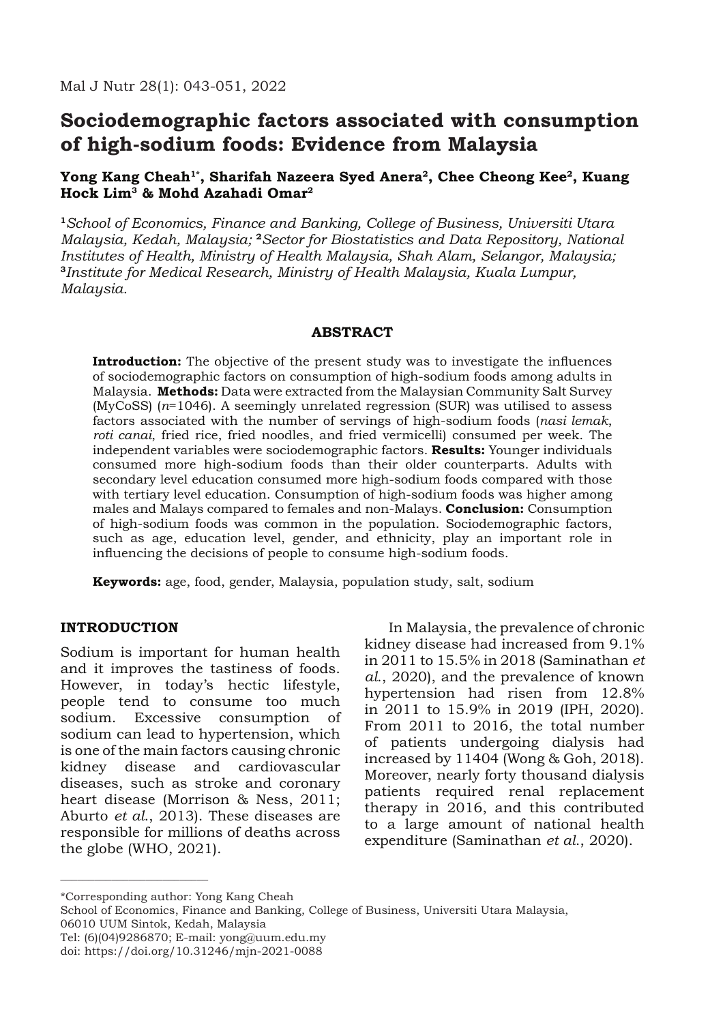# **Sociodemographic factors associated with consumption of high-sodium foods: Evidence from Malaysia**

# Yong Kang Cheah<sup>1\*</sup>, Sharifah Nazeera Syed Anera<sup>2</sup>, Chee Cheong Kee<sup>2</sup>, Kuang **Hock Lim3 & Mohd Azahadi Omar2**

**<sup>1</sup>***School of Economics, Finance and Banking, College of Business, Universiti Utara Malaysia, Kedah, Malaysia;* **<sup>2</sup>***Sector for Biostatistics and Data Repository, National Institutes of Health, Ministry of Health Malaysia, Shah Alam, Selangor, Malaysia;*  **<sup>3</sup>***Institute for Medical Research, Ministry of Health Malaysia, Kuala Lumpur, Malaysia.*

# **ABSTRACT**

**Introduction:** The objective of the present study was to investigate the influences of sociodemographic factors on consumption of high-sodium foods among adults in Malaysia. **Methods:** Data were extracted from the Malaysian Community Salt Survey (MyCoSS) (*n*=1046). A seemingly unrelated regression (SUR) was utilised to assess factors associated with the number of servings of high-sodium foods (*nasi lemak*, *roti canai*, fried rice, fried noodles, and fried vermicelli) consumed per week. The independent variables were sociodemographic factors. **Results:** Younger individuals consumed more high-sodium foods than their older counterparts. Adults with secondary level education consumed more high-sodium foods compared with those with tertiary level education. Consumption of high-sodium foods was higher among males and Malays compared to females and non-Malays. **Conclusion:** Consumption of high-sodium foods was common in the population. Sociodemographic factors, such as age, education level, gender, and ethnicity, play an important role in influencing the decisions of people to consume high-sodium foods.

**Keywords:** age, food, gender, Malaysia, population study, salt, sodium

## **INTRODUCTION**

Sodium is important for human health and it improves the tastiness of foods. However, in today's hectic lifestyle, people tend to consume too much sodium. Excessive consumption of sodium can lead to hypertension, which is one of the main factors causing chronic kidney disease and cardiovascular diseases, such as stroke and coronary heart disease (Morrison & Ness, 2011; Aburto *et al*., 2013). These diseases are responsible for millions of deaths across the globe (WHO, 2021).

In Malaysia, the prevalence of chronic kidney disease had increased from 9.1% in 2011 to 15.5% in 2018 (Saminathan *et al*., 2020), and the prevalence of known hypertension had risen from 12.8% in 2011 to 15.9% in 2019 (IPH, 2020). From 2011 to 2016, the total number of patients undergoing dialysis had increased by 11404 (Wong & Goh, 2018). Moreover, nearly forty thousand dialysis patients required renal replacement therapy in 2016, and this contributed to a large amount of national health expenditure (Saminathan *et al*., 2020).

\*Corresponding author: Yong Kang Cheah

\_\_\_\_\_\_\_\_\_\_\_\_\_\_\_\_\_\_\_\_\_\_\_\_\_\_

School of Economics, Finance and Banking, College of Business, Universiti Utara Malaysia, 06010 UUM Sintok, Kedah, Malaysia

Tel: (6)(04)9286870; E-mail: yong@uum.edu.my

doi: https://doi.org/10.31246/mjn-2021-0088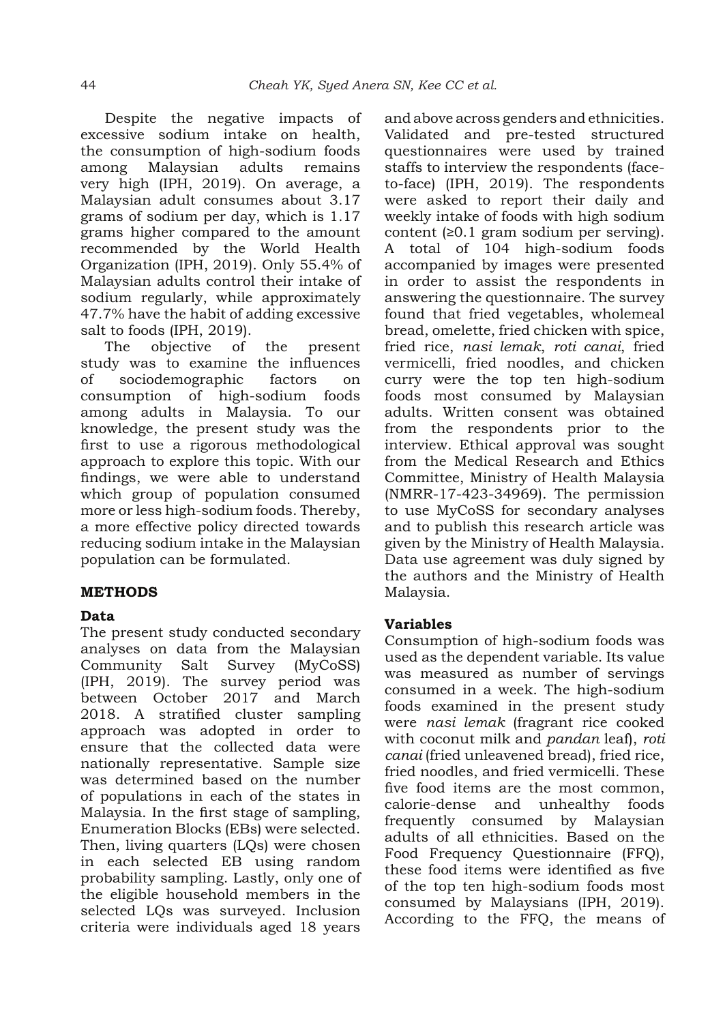Despite the negative impacts of excessive sodium intake on health, the consumption of high-sodium foods among Malaysian adults remains very high (IPH, 2019). On average, a Malaysian adult consumes about 3.17 grams of sodium per day, which is 1.17 grams higher compared to the amount recommended by the World Health Organization (IPH, 2019). Only 55.4% of Malaysian adults control their intake of sodium regularly, while approximately 47.7% have the habit of adding excessive salt to foods (IPH, 2019).

The objective of the present study was to examine the influences of sociodemographic factors on consumption of high-sodium foods among adults in Malaysia. To our knowledge, the present study was the first to use a rigorous methodological approach to explore this topic. With our findings, we were able to understand which group of population consumed more or less high-sodium foods. Thereby, a more effective policy directed towards reducing sodium intake in the Malaysian population can be formulated.

## **METHODS**

## **Data**

The present study conducted secondary analyses on data from the Malaysian Community Salt Survey (MyCoSS) (IPH, 2019). The survey period was between October 2017 and March 2018. A stratified cluster sampling approach was adopted in order to ensure that the collected data were nationally representative. Sample size was determined based on the number of populations in each of the states in Malaysia. In the first stage of sampling, Enumeration Blocks (EBs) were selected. Then, living quarters (LQs) were chosen in each selected EB using random probability sampling. Lastly, only one of the eligible household members in the selected LQs was surveyed. Inclusion criteria were individuals aged 18 years and above across genders and ethnicities. Validated and pre-tested structured questionnaires were used by trained staffs to interview the respondents (faceto-face) (IPH, 2019). The respondents were asked to report their daily and weekly intake of foods with high sodium content (≥0.1 gram sodium per serving). A total of 104 high-sodium foods accompanied by images were presented in order to assist the respondents in answering the questionnaire. The survey found that fried vegetables, wholemeal bread, omelette, fried chicken with spice, fried rice, *nasi lemak*, *roti canai*, fried vermicelli, fried noodles, and chicken curry were the top ten high-sodium foods most consumed by Malaysian adults. Written consent was obtained from the respondents prior to the interview. Ethical approval was sought from the Medical Research and Ethics Committee, Ministry of Health Malaysia (NMRR-17-423-34969). The permission to use MyCoSS for secondary analyses and to publish this research article was given by the Ministry of Health Malaysia. Data use agreement was duly signed by the authors and the Ministry of Health Malaysia.

## **Variables**

Consumption of high-sodium foods was used as the dependent variable. Its value was measured as number of servings consumed in a week. The high-sodium foods examined in the present study were *nasi lemak* (fragrant rice cooked with coconut milk and *pandan* leaf), *roti canai* (fried unleavened bread), fried rice, fried noodles, and fried vermicelli. These five food items are the most common, calorie-dense and unhealthy foods frequently consumed by Malaysian adults of all ethnicities. Based on the Food Frequency Questionnaire (FFQ), these food items were identified as five of the top ten high-sodium foods most consumed by Malaysians (IPH, 2019). According to the FFQ, the means of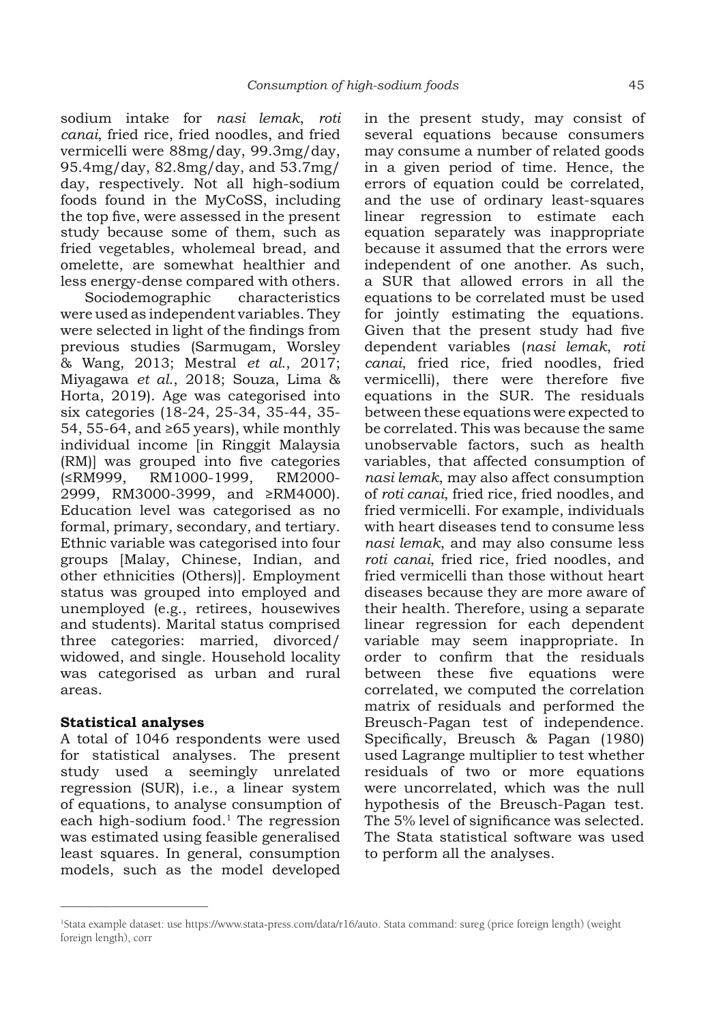sodium intake for *nasi lemak*, *roti canai*, fried rice, fried noodles, and fried vermicelli were 88mg/day, 99.3mg/day, 95.4mg/day, 82.8mg/day, and 53.7mg/ day, respectively. Not all high-sodium foods found in the MyCoSS, including the top five, were assessed in the present study because some of them, such as fried vegetables, wholemeal bread, and omelette, are somewhat healthier and less energy-dense compared with others.

Sociodemographic characteristics were used as independent variables. They were selected in light of the findings from previous studies (Sarmugam, Worsley & Wang, 2013; Mestral *et al*., 2017; Miyagawa *et al*., 2018; Souza, Lima & Horta, 2019). Age was categorised into six categories (18-24, 25-34, 35-44, 35- 54, 55-64, and ≥65 years), while monthly individual income [in Ringgit Malaysia (RM)] was grouped into five categories (≤RM999, RM1000-1999, RM2000- 2999, RM3000-3999, and ≥RM4000). Education level was categorised as no formal, primary, secondary, and tertiary. Ethnic variable was categorised into four groups [Malay, Chinese, Indian, and other ethnicities (Others)]. Employment status was grouped into employed and unemployed (e.g., retirees, housewives and students). Marital status comprised three categories: married, divorced/ widowed, and single. Household locality was categorised as urban and rural areas.

# **Statistical analyses**

\_\_\_\_\_\_\_\_\_\_\_\_\_\_\_\_\_\_\_\_\_\_\_\_\_\_

A total of 1046 respondents were used for statistical analyses. The present study used a seemingly unrelated regression (SUR), i.e., a linear system of equations, to analyse consumption of each high-sodium food. $1$  The regression was estimated using feasible generalised least squares. In general, consumption models, such as the model developed in the present study, may consist of several equations because consumers may consume a number of related goods in a given period of time. Hence, the errors of equation could be correlated, and the use of ordinary least-squares linear regression to estimate each equation separately was inappropriate because it assumed that the errors were independent of one another. As such, a SUR that allowed errors in all the equations to be correlated must be used for jointly estimating the equations. Given that the present study had five dependent variables (*nasi lemak*, *roti canai*, fried rice, fried noodles, fried vermicelli), there were therefore five equations in the SUR. The residuals between these equations were expected to be correlated. This was because the same unobservable factors, such as health variables, that affected consumption of *nasi lemak*, may also affect consumption of *roti canai*, fried rice, fried noodles, and fried vermicelli. For example, individuals with heart diseases tend to consume less *nasi lemak*, and may also consume less *roti canai*, fried rice, fried noodles, and fried vermicelli than those without heart diseases because they are more aware of their health. Therefore, using a separate linear regression for each dependent variable may seem inappropriate. In order to confirm that the residuals between these five equations were correlated, we computed the correlation matrix of residuals and performed the Breusch-Pagan test of independence. Specifically, Breusch & Pagan (1980) used Lagrange multiplier to test whether residuals of two or more equations were uncorrelated, which was the null hypothesis of the Breusch-Pagan test. The 5% level of significance was selected. The Stata statistical software was used to perform all the analyses.

<sup>1</sup> Stata example dataset: use https://www.stata-press.com/data/r16/auto. Stata command: sureg (price foreign length) (weight foreign length), corr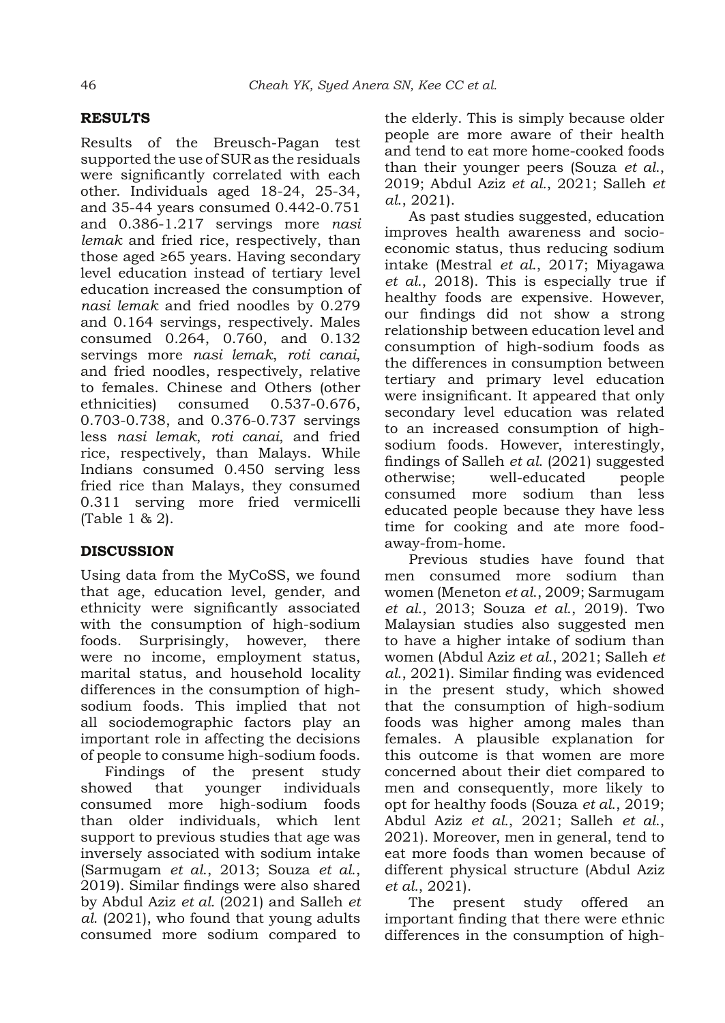# **RESULTS**

Results of the Breusch-Pagan test supported the use of SUR as the residuals were significantly correlated with each other. Individuals aged 18-24, 25-34, and 35-44 years consumed 0.442-0.751 and 0.386-1.217 servings more *nasi lemak* and fried rice, respectively, than those aged ≥65 years. Having secondary level education instead of tertiary level education increased the consumption of *nasi lemak* and fried noodles by 0.279 and 0.164 servings, respectively. Males consumed 0.264, 0.760, and 0.132 servings more *nasi lemak*, *roti canai*, and fried noodles, respectively, relative to females. Chinese and Others (other ethnicities) consumed 0.537-0.676, 0.703-0.738, and 0.376-0.737 servings less *nasi lemak*, *roti canai*, and fried rice, respectively, than Malays. While Indians consumed 0.450 serving less fried rice than Malays, they consumed 0.311 serving more fried vermicelli (Table 1 & 2).

# **DISCUSSION**

Using data from the MyCoSS, we found that age, education level, gender, and ethnicity were significantly associated with the consumption of high-sodium foods. Surprisingly, however, there were no income, employment status, marital status, and household locality differences in the consumption of highsodium foods. This implied that not all sociodemographic factors play an important role in affecting the decisions of people to consume high-sodium foods.

Findings of the present study showed that younger individuals consumed more high-sodium foods than older individuals, which lent support to previous studies that age was inversely associated with sodium intake (Sarmugam *et al*., 2013; Souza *et al*., 2019). Similar findings were also shared by Abdul Aziz *et al.* (2021) and Salleh *et al*. (2021), who found that young adults consumed more sodium compared to the elderly. This is simply because older people are more aware of their health and tend to eat more home-cooked foods than their younger peers (Souza *et al*., 2019; Abdul Aziz *et al.*, 2021; Salleh *et al*., 2021).

As past studies suggested, education improves health awareness and socioeconomic status, thus reducing sodium intake (Mestral *et al*., 2017; Miyagawa *et al*., 2018). This is especially true if healthy foods are expensive. However, our findings did not show a strong relationship between education level and consumption of high-sodium foods as the differences in consumption between tertiary and primary level education were insignificant. It appeared that only secondary level education was related to an increased consumption of highsodium foods. However, interestingly, findings of Salleh *et al*. (2021) suggested otherwise; well-educated people consumed more sodium than less educated people because they have less time for cooking and ate more foodaway-from-home.

Previous studies have found that men consumed more sodium than women (Meneton *et al*., 2009; Sarmugam *et al*., 2013; Souza *et al*., 2019). Two Malaysian studies also suggested men to have a higher intake of sodium than women (Abdul Aziz *et al.*, 2021; Salleh *et al*., 2021). Similar finding was evidenced in the present study, which showed that the consumption of high-sodium foods was higher among males than females. A plausible explanation for this outcome is that women are more concerned about their diet compared to men and consequently, more likely to opt for healthy foods (Souza *et al*., 2019; Abdul Aziz *et al.*, 2021; Salleh *et al*., 2021). Moreover, men in general, tend to eat more foods than women because of different physical structure (Abdul Aziz *et al.*, 2021).

The present study offered an important finding that there were ethnic differences in the consumption of high-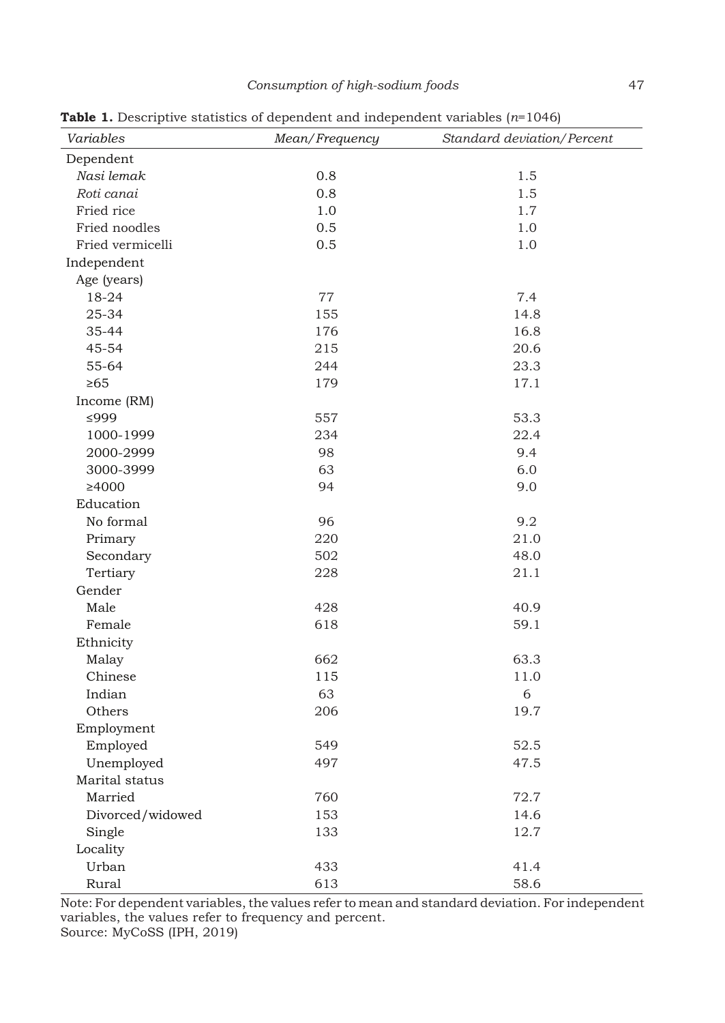| Variables        | as a Beochpare statistics of appendent and mappendent randsles (it 1010)<br>Mean/Frequency | Standard deviation/Percent |
|------------------|--------------------------------------------------------------------------------------------|----------------------------|
| Dependent        |                                                                                            |                            |
| Nasi lemak       | 0.8                                                                                        | 1.5                        |
| Roti canai       | 0.8                                                                                        | 1.5                        |
| Fried rice       | 1.0                                                                                        | 1.7                        |
| Fried noodles    | 0.5                                                                                        | 1.0                        |
| Fried vermicelli | 0.5                                                                                        | 1.0                        |
| Independent      |                                                                                            |                            |
| Age (years)      |                                                                                            |                            |
| 18-24            | 77                                                                                         | 7.4                        |
| 25-34            | 155                                                                                        | 14.8                       |
| 35-44            | 176                                                                                        | 16.8                       |
| 45-54            | 215                                                                                        | 20.6                       |
| 55-64            | 244                                                                                        | 23.3                       |
| $\geq 65$        | 179                                                                                        | 17.1                       |
| Income (RM)      |                                                                                            |                            |
| ≤999             | 557                                                                                        | 53.3                       |
| 1000-1999        | 234                                                                                        | 22.4                       |
| 2000-2999        | 98                                                                                         | 9.4                        |
| 3000-3999        | 63                                                                                         | 6.0                        |
| ≥4000            | 94                                                                                         | 9.0                        |
| Education        |                                                                                            |                            |
| No formal        | 96                                                                                         | 9.2                        |
| Primary          | 220                                                                                        | 21.0                       |
| Secondary        | 502                                                                                        | 48.0                       |
| Tertiary         | 228                                                                                        | 21.1                       |
| Gender           |                                                                                            |                            |
| Male             | 428                                                                                        | 40.9                       |
| Female           | 618                                                                                        | 59.1                       |
| Ethnicity        |                                                                                            |                            |
| Malay            | 662                                                                                        | 63.3                       |
| Chinese          | 115                                                                                        | 11.0                       |
| Indian           | 63                                                                                         | $\sqrt{6}$                 |
| Others           | 206                                                                                        | 19.7                       |
| Employment       |                                                                                            |                            |
| Employed         | 549                                                                                        | 52.5                       |
| Unemployed       | 497                                                                                        | 47.5                       |
| Marital status   |                                                                                            |                            |
| Married          | 760                                                                                        | 72.7                       |
| Divorced/widowed | 153                                                                                        | 14.6                       |
| Single           | 133                                                                                        | 12.7                       |
| Locality         |                                                                                            |                            |
| Urban            | 433                                                                                        | 41.4                       |
| Rural            | 613                                                                                        | 58.6                       |

**Table 1.** Descriptive statistics of dependent and independent variables (*n*=1046)

Note: For dependent variables, the values refer to mean and standard deviation. For independent variables, the values refer to frequency and percent. Source: MyCoSS (IPH, 2019)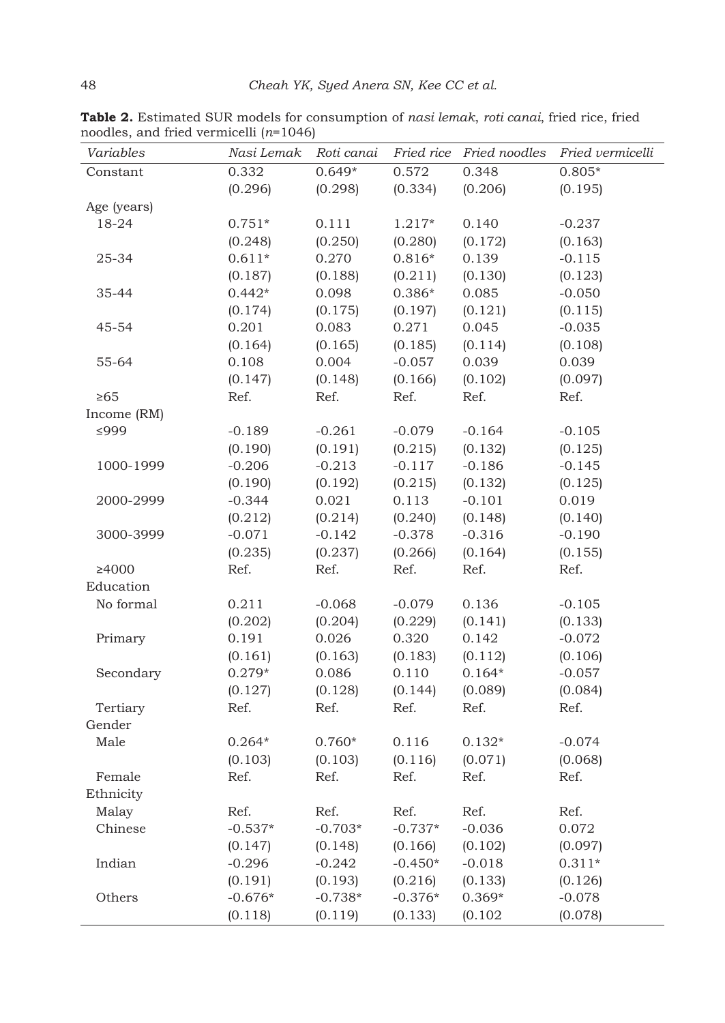| Variables   |           |           |           |          | Nasi Lemak Roti canai Fried rice Fried noodles Fried vermicelli |
|-------------|-----------|-----------|-----------|----------|-----------------------------------------------------------------|
| Constant    | 0.332     | $0.649*$  | 0.572     | 0.348    | $0.805*$                                                        |
|             | (0.296)   | (0.298)   | (0.334)   | (0.206)  | (0.195)                                                         |
| Age (years) |           |           |           |          |                                                                 |
| 18-24       | $0.751*$  | 0.111     | $1.217*$  | 0.140    | $-0.237$                                                        |
|             | (0.248)   | (0.250)   | (0.280)   | (0.172)  | (0.163)                                                         |
| 25-34       | $0.611*$  | 0.270     | $0.816*$  | 0.139    | $-0.115$                                                        |
|             | (0.187)   | (0.188)   | (0.211)   | (0.130)  | (0.123)                                                         |
| 35-44       | $0.442*$  | 0.098     | $0.386*$  | 0.085    | $-0.050$                                                        |
|             | (0.174)   | (0.175)   | (0.197)   | (0.121)  | (0.115)                                                         |
| 45-54       | 0.201     | 0.083     | 0.271     | 0.045    | $-0.035$                                                        |
|             | (0.164)   | (0.165)   | (0.185)   | (0.114)  | (0.108)                                                         |
| 55-64       | 0.108     | 0.004     | $-0.057$  | 0.039    | 0.039                                                           |
|             | (0.147)   | (0.148)   | (0.166)   | (0.102)  | (0.097)                                                         |
| $\geq 65$   | Ref.      | Ref.      | Ref.      | Ref.     | Ref.                                                            |
| Income (RM) |           |           |           |          |                                                                 |
| ≤999        | $-0.189$  | $-0.261$  | $-0.079$  | $-0.164$ | $-0.105$                                                        |
|             | (0.190)   | (0.191)   | (0.215)   | (0.132)  | (0.125)                                                         |
| 1000-1999   | $-0.206$  | $-0.213$  | $-0.117$  | $-0.186$ | $-0.145$                                                        |
|             | (0.190)   | (0.192)   | (0.215)   | (0.132)  | (0.125)                                                         |
| 2000-2999   | $-0.344$  | 0.021     | 0.113     | $-0.101$ | 0.019                                                           |
|             | (0.212)   | (0.214)   | (0.240)   | (0.148)  | (0.140)                                                         |
| 3000-3999   | $-0.071$  | $-0.142$  | $-0.378$  | $-0.316$ | $-0.190$                                                        |
|             | (0.235)   | (0.237)   | (0.266)   | (0.164)  | (0.155)                                                         |
| ≥4000       | Ref.      | Ref.      | Ref.      | Ref.     | Ref.                                                            |
| Education   |           |           |           |          |                                                                 |
| No formal   | 0.211     | $-0.068$  | $-0.079$  | 0.136    | $-0.105$                                                        |
|             | (0.202)   | (0.204)   | (0.229)   | (0.141)  | (0.133)                                                         |
| Primary     | 0.191     | 0.026     | 0.320     | 0.142    | $-0.072$                                                        |
|             | (0.161)   | (0.163)   | (0.183)   | (0.112)  | (0.106)                                                         |
| Secondary   | $0.279*$  | 0.086     | 0.110     | $0.164*$ | $-0.057$                                                        |
|             | (0.127)   | (0.128)   | (0.144)   | (0.089)  | (0.084)                                                         |
| Tertiary    | Ref.      | Ref.      | Ref.      | Ref.     | Ref.                                                            |
| Gender      |           |           |           |          |                                                                 |
| Male        | $0.264*$  | $0.760*$  | 0.116     | $0.132*$ | $-0.074$                                                        |
|             | (0.103)   | (0.103)   | (0.116)   | (0.071)  | (0.068)                                                         |
| Female      | Ref.      | Ref.      | Ref.      | Ref.     | Ref.                                                            |
| Ethnicity   |           |           |           |          |                                                                 |
| Malay       | Ref.      | Ref.      | Ref.      | Ref.     | Ref.                                                            |
| Chinese     | $-0.537*$ | $-0.703*$ | $-0.737*$ | $-0.036$ | 0.072                                                           |
|             | (0.147)   | (0.148)   | (0.166)   | (0.102)  | (0.097)                                                         |
| Indian      | $-0.296$  | $-0.242$  | $-0.450*$ | $-0.018$ | $0.311*$                                                        |
|             | (0.191)   | (0.193)   | (0.216)   | (0.133)  | (0.126)                                                         |
| Others      | $-0.676*$ | $-0.738*$ | $-0.376*$ | $0.369*$ | $-0.078$                                                        |
|             | (0.118)   | (0.119)   | (0.133)   | (0.102)  | (0.078)                                                         |

**Table 2.** Estimated SUR models for consumption of *nasi lemak*, *roti canai*, fried rice, fried noodles, and fried vermicelli (*n*=1046)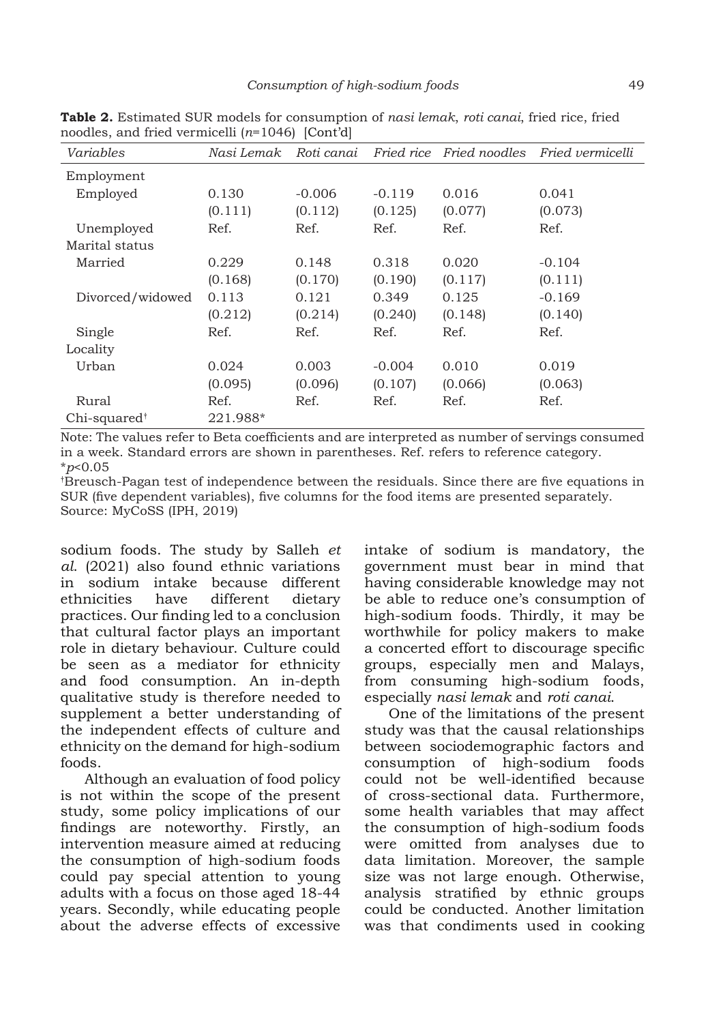| Variables                | Nasi Lemak | Roti canai |          | Fried rice Fried noodles | Fried vermicelli |
|--------------------------|------------|------------|----------|--------------------------|------------------|
| Employment               |            |            |          |                          |                  |
| Employed                 | 0.130      | $-0.006$   | $-0.119$ | 0.016                    | 0.041            |
|                          | (0.111)    | (0.112)    | (0.125)  | (0.077)                  | (0.073)          |
| Unemployed               | Ref.       | Ref.       | Ref.     | Ref.                     | Ref.             |
| Marital status           |            |            |          |                          |                  |
| Married                  | 0.229      | 0.148      | 0.318    | 0.020                    | $-0.104$         |
|                          | (0.168)    | (0.170)    | (0.190)  | (0.117)                  | (0.111)          |
| Divorced/widowed         | 0.113      | 0.121      | 0.349    | 0.125                    | $-0.169$         |
|                          | (0.212)    | (0.214)    | (0.240)  | (0.148)                  | (0.140)          |
| Single                   | Ref.       | Ref.       | Ref.     | Ref.                     | Ref.             |
| Locality                 |            |            |          |                          |                  |
| Urban                    | 0.024      | 0.003      | $-0.004$ | 0.010                    | 0.019            |
|                          | (0.095)    | (0.096)    | (0.107)  | (0.066)                  | (0.063)          |
| Rural                    | Ref.       | Ref.       | Ref.     | Ref.                     | Ref.             |
| $Chi$ -squared $\dagger$ | 221.988*   |            |          |                          |                  |

**Table 2.** Estimated SUR models for consumption of *nasi lemak*, *roti canai*, fried rice, fried noodles, and fried vermicelli (*n*=1046) [Cont'd]

Note: The values refer to Beta coefficients and are interpreted as number of servings consumed in a week. Standard errors are shown in parentheses. Ref. refers to reference category. \**p*<0.05

† Breusch-Pagan test of independence between the residuals. Since there are five equations in SUR (five dependent variables), five columns for the food items are presented separately. Source: MyCoSS (IPH, 2019)

sodium foods. The study by Salleh *et al*. (2021) also found ethnic variations in sodium intake because different ethnicities have different dietary practices. Our finding led to a conclusion that cultural factor plays an important role in dietary behaviour. Culture could be seen as a mediator for ethnicity and food consumption. An in-depth qualitative study is therefore needed to supplement a better understanding of the independent effects of culture and ethnicity on the demand for high-sodium foods.

Although an evaluation of food policy is not within the scope of the present study, some policy implications of our findings are noteworthy. Firstly, an intervention measure aimed at reducing the consumption of high-sodium foods could pay special attention to young adults with a focus on those aged 18-44 years. Secondly, while educating people about the adverse effects of excessive

intake of sodium is mandatory, the government must bear in mind that having considerable knowledge may not be able to reduce one's consumption of high-sodium foods. Thirdly, it may be worthwhile for policy makers to make a concerted effort to discourage specific groups, especially men and Malays, from consuming high-sodium foods, especially *nasi lemak* and *roti canai*.

One of the limitations of the present study was that the causal relationships between sociodemographic factors and consumption of high-sodium foods could not be well-identified because of cross-sectional data. Furthermore, some health variables that may affect the consumption of high-sodium foods were omitted from analyses due to data limitation. Moreover, the sample size was not large enough. Otherwise, analysis stratified by ethnic groups could be conducted. Another limitation was that condiments used in cooking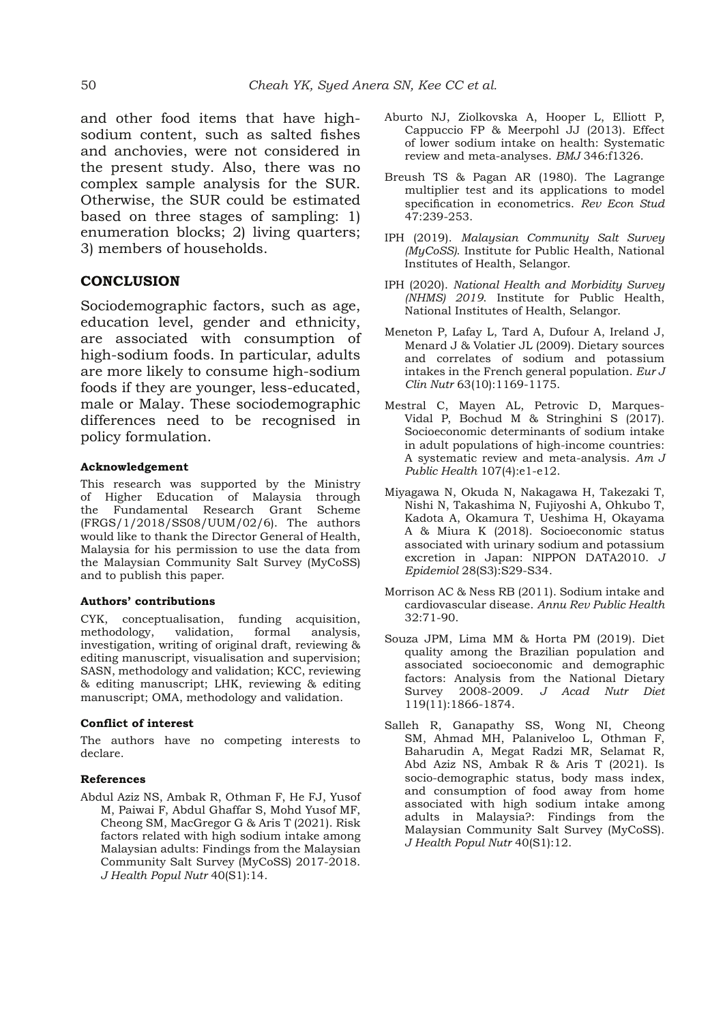and other food items that have highsodium content, such as salted fishes and anchovies, were not considered in the present study. Also, there was no complex sample analysis for the SUR. Otherwise, the SUR could be estimated based on three stages of sampling: 1) enumeration blocks; 2) living quarters; 3) members of households.

### **CONCLUSION**

Sociodemographic factors, such as age, education level, gender and ethnicity, are associated with consumption of high-sodium foods. In particular, adults are more likely to consume high-sodium foods if they are younger, less-educated, male or Malay. These sociodemographic differences need to be recognised in policy formulation.

#### **Acknowledgement**

This research was supported by the Ministry of Higher Education of Malaysia through the Fundamental Research Grant Scheme (FRGS/1/2018/SS08/UUM/02/6). The authors would like to thank the Director General of Health, Malaysia for his permission to use the data from the Malaysian Community Salt Survey (MyCoSS) and to publish this paper.

#### **Authors' contributions**

CYK, conceptualisation, funding acquisition, methodology, validation, formal analysis, investigation, writing of original draft, reviewing & editing manuscript, visualisation and supervision; SASN, methodology and validation; KCC, reviewing & editing manuscript; LHK, reviewing & editing manuscript; OMA, methodology and validation.

#### **Conflict of interest**

The authors have no competing interests to declare.

#### **References**

Abdul Aziz NS, Ambak R, Othman F, He FJ, Yusof M, Paiwai F, Abdul Ghaffar S, Mohd Yusof MF, Cheong SM, MacGregor G & Aris T (2021). Risk factors related with high sodium intake among Malaysian adults: Findings from the Malaysian Community Salt Survey (MyCoSS) 2017-2018. *J Health Popul Nutr* 40(S1):14.

- Aburto NJ, Ziolkovska A, Hooper L, Elliott P, Cappuccio FP & Meerpohl JJ (2013). Effect of lower sodium intake on health: Systematic review and meta-analyses. *BMJ* 346:f1326.
- Breush TS & Pagan AR (1980). The Lagrange multiplier test and its applications to model specification in econometrics. *Rev Econ Stud* 47:239-253.
- IPH (2019). *Malaysian Community Salt Survey (MyCoSS)*. Institute for Public Health, National Institutes of Health, Selangor.
- IPH (2020). *National Health and Morbidity Survey (NHMS) 2019*. Institute for Public Health, National Institutes of Health, Selangor.
- Meneton P, Lafay L, Tard A, Dufour A, Ireland J, Menard J & Volatier JL (2009). Dietary sources and correlates of sodium and potassium intakes in the French general population. *Eur J Clin Nutr* 63(10):1169-1175.
- Mestral C, Mayen AL, Petrovic D, Marques-Vidal P, Bochud M & Stringhini S (2017). Socioeconomic determinants of sodium intake in adult populations of high-income countries: A systematic review and meta-analysis. *Am J Public Health* 107(4):e1-e12.
- Miyagawa N, Okuda N, Nakagawa H, Takezaki T, Nishi N, Takashima N, Fujiyoshi A, Ohkubo T, Kadota A, Okamura T, Ueshima H, Okayama A & Miura K (2018). Socioeconomic status associated with urinary sodium and potassium excretion in Japan: NIPPON DATA2010. *J Epidemiol* 28(S3):S29-S34.
- Morrison AC & Ness RB (2011). Sodium intake and cardiovascular disease. *Annu Rev Public Health* 32:71-90.
- Souza JPM, Lima MM & Horta PM (2019). Diet quality among the Brazilian population and associated socioeconomic and demographic factors: Analysis from the National Dietary Survey 2008-2009. *J Acad Nutr Diet* 119(11):1866-1874.
- Salleh R, Ganapathy SS, Wong NI, Cheong SM, Ahmad MH, Palaniveloo L, Othman F, Baharudin A, Megat Radzi MR, Selamat R, Abd Aziz NS, Ambak R & Aris T (2021). Is socio-demographic status, body mass index, and consumption of food away from home associated with high sodium intake among adults in Malaysia?: Findings from the Malaysian Community Salt Survey (MyCoSS). *J Health Popul Nutr* 40(S1):12.